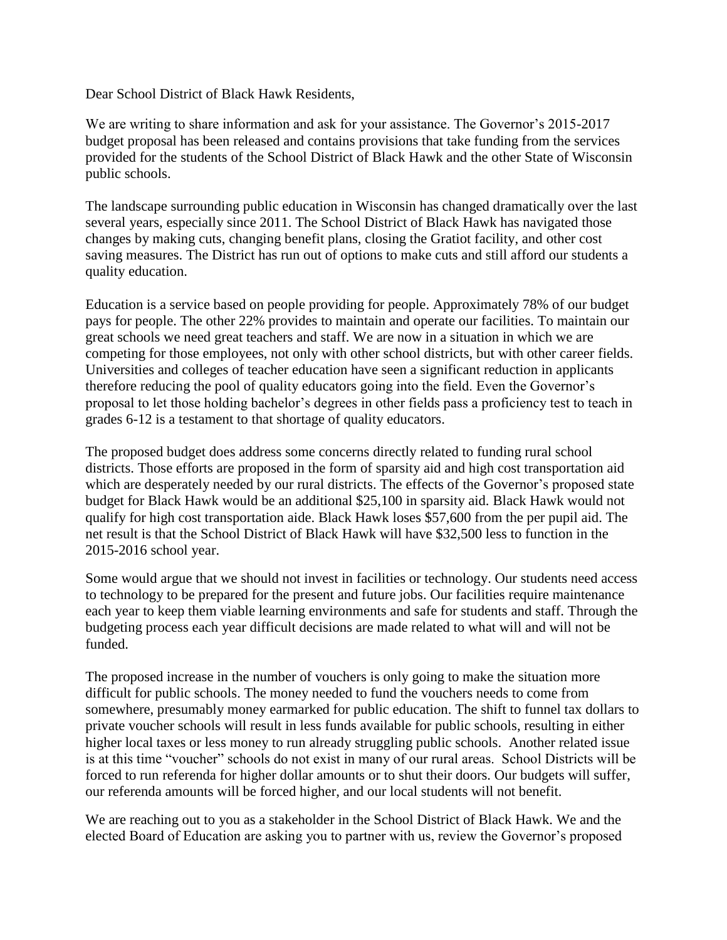Dear School District of Black Hawk Residents,

We are writing to share information and ask for your assistance. The Governor's 2015-2017 budget proposal has been released and contains provisions that take funding from the services provided for the students of the School District of Black Hawk and the other State of Wisconsin public schools.

The landscape surrounding public education in Wisconsin has changed dramatically over the last several years, especially since 2011. The School District of Black Hawk has navigated those changes by making cuts, changing benefit plans, closing the Gratiot facility, and other cost saving measures. The District has run out of options to make cuts and still afford our students a quality education.

Education is a service based on people providing for people. Approximately 78% of our budget pays for people. The other 22% provides to maintain and operate our facilities. To maintain our great schools we need great teachers and staff. We are now in a situation in which we are competing for those employees, not only with other school districts, but with other career fields. Universities and colleges of teacher education have seen a significant reduction in applicants therefore reducing the pool of quality educators going into the field. Even the Governor's proposal to let those holding bachelor's degrees in other fields pass a proficiency test to teach in grades 6-12 is a testament to that shortage of quality educators.

The proposed budget does address some concerns directly related to funding rural school districts. Those efforts are proposed in the form of sparsity aid and high cost transportation aid which are desperately needed by our rural districts. The effects of the Governor's proposed state budget for Black Hawk would be an additional \$25,100 in sparsity aid. Black Hawk would not qualify for high cost transportation aide. Black Hawk loses \$57,600 from the per pupil aid. The net result is that the School District of Black Hawk will have \$32,500 less to function in the 2015-2016 school year.

Some would argue that we should not invest in facilities or technology. Our students need access to technology to be prepared for the present and future jobs. Our facilities require maintenance each year to keep them viable learning environments and safe for students and staff. Through the budgeting process each year difficult decisions are made related to what will and will not be funded.

The proposed increase in the number of vouchers is only going to make the situation more difficult for public schools. The money needed to fund the vouchers needs to come from somewhere, presumably money earmarked for public education. The shift to funnel tax dollars to private voucher schools will result in less funds available for public schools, resulting in either higher local taxes or less money to run already struggling public schools. Another related issue is at this time "voucher" schools do not exist in many of our rural areas. School Districts will be forced to run referenda for higher dollar amounts or to shut their doors. Our budgets will suffer, our referenda amounts will be forced higher, and our local students will not benefit.

We are reaching out to you as a stakeholder in the School District of Black Hawk. We and the elected Board of Education are asking you to partner with us, review the Governor's proposed